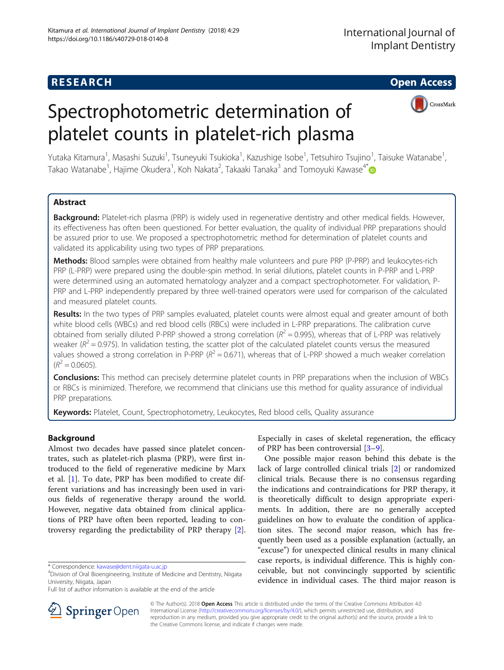# **RESEARCH CHE Open Access**

# Spectrophotometric determination of platelet counts in platelet-rich plasma



Yutaka Kitamura<sup>1</sup>, Masashi Suzuki<sup>1</sup>, Tsuneyuki Tsukioka<sup>1</sup>, Kazushige Isobe<sup>1</sup>, Tetsuhiro Tsujino<sup>1</sup>, Taisuke Watanabe<sup>1</sup> , Takao Watanabe<sup>1</sup>, Hajime Okudera<sup>1</sup>, Koh Nakata<sup>2</sup>, Takaaki Tanaka<sup>3</sup> and Tomoyuki Kawase<sup>4\*</sup>

# Abstract

Background: Platelet-rich plasma (PRP) is widely used in regenerative dentistry and other medical fields. However, its effectiveness has often been questioned. For better evaluation, the quality of individual PRP preparations should be assured prior to use. We proposed a spectrophotometric method for determination of platelet counts and validated its applicability using two types of PRP preparations.

Methods: Blood samples were obtained from healthy male volunteers and pure PRP (P-PRP) and leukocytes-rich PRP (L-PRP) were prepared using the double-spin method. In serial dilutions, platelet counts in P-PRP and L-PRP were determined using an automated hematology analyzer and a compact spectrophotometer. For validation, P-PRP and L-PRP independently prepared by three well-trained operators were used for comparison of the calculated and measured platelet counts.

Results: In the two types of PRP samples evaluated, platelet counts were almost equal and greater amount of both white blood cells (WBCs) and red blood cells (RBCs) were included in L-PRP preparations. The calibration curve obtained from serially diluted P-PRP showed a strong correlation ( $R^2 = 0.995$ ), whereas that of L-PRP was relatively weaker ( $R^2$  = 0.975). In validation testing, the scatter plot of the calculated platelet counts versus the measured values showed a strong correlation in P-PRP ( $R^2 = 0.671$ ), whereas that of L-PRP showed a much weaker correlation  $(R^2 = 0.0605)$ .

**Conclusions:** This method can precisely determine platelet counts in PRP preparations when the inclusion of WBCs or RBCs is minimized. Therefore, we recommend that clinicians use this method for quality assurance of individual PRP preparations.

Keywords: Platelet, Count, Spectrophotometry, Leukocytes, Red blood cells, Quality assurance

# Background

Almost two decades have passed since platelet concentrates, such as platelet-rich plasma (PRP), were first introduced to the field of regenerative medicine by Marx et al. [[1\]](#page-6-0). To date, PRP has been modified to create different variations and has increasingly been used in various fields of regenerative therapy around the world. However, negative data obtained from clinical applications of PRP have often been reported, leading to controversy regarding the predictability of PRP therapy [\[2](#page-6-0)].

Full list of author information is available at the end of the article

Especially in cases of skeletal regeneration, the efficacy of PRP has been controversial [\[3](#page-6-0)–[9](#page-6-0)].

One possible major reason behind this debate is the lack of large controlled clinical trials [[2](#page-6-0)] or randomized clinical trials. Because there is no consensus regarding the indications and contraindications for PRP therapy, it is theoretically difficult to design appropriate experiments. In addition, there are no generally accepted guidelines on how to evaluate the condition of application sites. The second major reason, which has frequently been used as a possible explanation (actually, an "excuse") for unexpected clinical results in many clinical case reports, is individual difference. This is highly conceivable, but not convincingly supported by scientific evidence in individual cases. The third major reason is



© The Author(s). 2018 Open Access This article is distributed under the terms of the Creative Commons Attribution 4.0 International License ([http://creativecommons.org/licenses/by/4.0/\)](http://creativecommons.org/licenses/by/4.0/), which permits unrestricted use, distribution, and reproduction in any medium, provided you give appropriate credit to the original author(s) and the source, provide a link to the Creative Commons license, and indicate if changes were made.

<sup>\*</sup> Correspondence: [kawase@dent.niigata-u.ac.jp](mailto:kawase@dent.niigata-u.ac.jp) <sup>4</sup>

Division of Oral Bioengineering, Institute of Medicine and Dentistry, Niigata University, Niigata, Japan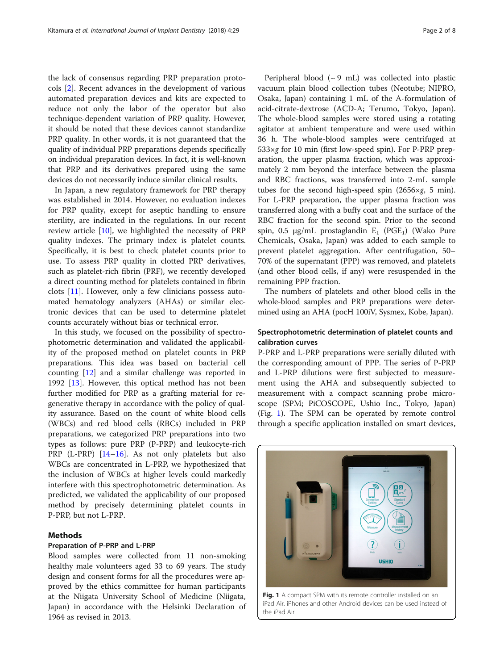the lack of consensus regarding PRP preparation protocols [\[2](#page-6-0)]. Recent advances in the development of various automated preparation devices and kits are expected to reduce not only the labor of the operator but also technique-dependent variation of PRP quality. However, it should be noted that these devices cannot standardize PRP quality. In other words, it is not guaranteed that the quality of individual PRP preparations depends specifically on individual preparation devices. In fact, it is well-known that PRP and its derivatives prepared using the same devices do not necessarily induce similar clinical results.

In Japan, a new regulatory framework for PRP therapy was established in 2014. However, no evaluation indexes for PRP quality, except for aseptic handling to ensure sterility, are indicated in the regulations. In our recent review article [[10](#page-6-0)], we highlighted the necessity of PRP quality indexes. The primary index is platelet counts. Specifically, it is best to check platelet counts prior to use. To assess PRP quality in clotted PRP derivatives, such as platelet-rich fibrin (PRF), we recently developed a direct counting method for platelets contained in fibrin clots [\[11\]](#page-6-0). However, only a few clinicians possess automated hematology analyzers (AHAs) or similar electronic devices that can be used to determine platelet counts accurately without bias or technical error.

In this study, we focused on the possibility of spectrophotometric determination and validated the applicability of the proposed method on platelet counts in PRP preparations. This idea was based on bacterial cell counting [[12\]](#page-6-0) and a similar challenge was reported in 1992 [\[13](#page-6-0)]. However, this optical method has not been further modified for PRP as a grafting material for regenerative therapy in accordance with the policy of quality assurance. Based on the count of white blood cells (WBCs) and red blood cells (RBCs) included in PRP preparations, we categorized PRP preparations into two types as follows: pure PRP (P-PRP) and leukocyte-rich PRP (L-PRP) [[14](#page-6-0)-[16](#page-6-0)]. As not only platelets but also WBCs are concentrated in L-PRP, we hypothesized that the inclusion of WBCs at higher levels could markedly interfere with this spectrophotometric determination. As predicted, we validated the applicability of our proposed method by precisely determining platelet counts in P-PRP, but not L-PRP.

# Methods

## Preparation of P-PRP and L-PRP

Blood samples were collected from 11 non-smoking healthy male volunteers aged 33 to 69 years. The study design and consent forms for all the procedures were approved by the ethics committee for human participants at the Niigata University School of Medicine (Niigata, Japan) in accordance with the Helsinki Declaration of 1964 as revised in 2013.

Peripheral blood  $({\sim}9$  mL) was collected into plastic vacuum plain blood collection tubes (Neotube; NIPRO, Osaka, Japan) containing 1 mL of the A-formulation of acid-citrate-dextrose (ACD-A; Terumo, Tokyo, Japan). The whole-blood samples were stored using a rotating agitator at ambient temperature and were used within 36 h. The whole-blood samples were centrifuged at  $533\times g$  for 10 min (first low-speed spin). For P-PRP preparation, the upper plasma fraction, which was approximately 2 mm beyond the interface between the plasma and RBC fractions, was transferred into 2-mL sample tubes for the second high-speed spin  $(2656 \times g, 5 \text{ min})$ . For L-PRP preparation, the upper plasma fraction was transferred along with a buffy coat and the surface of the RBC fraction for the second spin. Prior to the second spin, 0.5 μg/mL prostaglandin  $E_1$  (PGE<sub>1</sub>) (Wako Pure Chemicals, Osaka, Japan) was added to each sample to prevent platelet aggregation. After centrifugation, 50– 70% of the supernatant (PPP) was removed, and platelets (and other blood cells, if any) were resuspended in the remaining PPP fraction.

The numbers of platelets and other blood cells in the whole-blood samples and PRP preparations were determined using an AHA (pocH 100iV, Sysmex, Kobe, Japan).

# Spectrophotometric determination of platelet counts and calibration curves

P-PRP and L-PRP preparations were serially diluted with the corresponding amount of PPP. The series of P-PRP and L-PRP dilutions were first subjected to measurement using the AHA and subsequently subjected to measurement with a compact scanning probe microscope (SPM; PiCOSCOPE, Ushio Inc., Tokyo, Japan) (Fig. 1). The SPM can be operated by remote control through a specific application installed on smart devices,



iPad Air. iPhones and other Android devices can be used instead of the iPad Air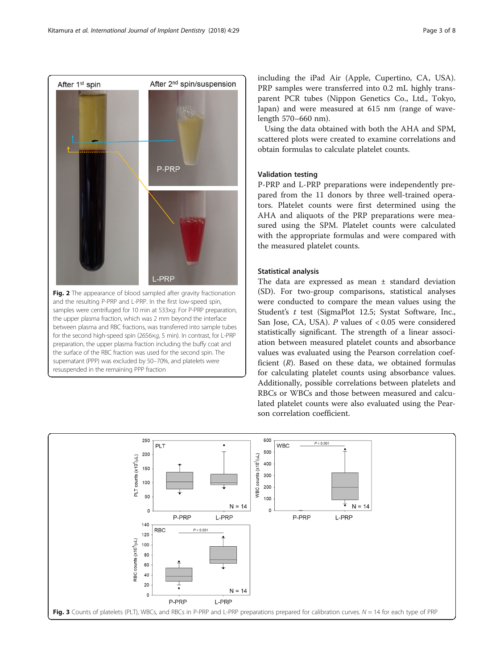<span id="page-2-0"></span>

and the resulting P-PRP and L-PRP. In the first low-speed spin, samples were centrifuged for 10 min at 533xg. For P-PRP preparation, the upper plasma fraction, which was 2 mm beyond the interface between plasma and RBC fractions, was transferred into sample tubes for the second high-speed spin (2656×g, 5 min). In contrast, for L-PRP preparation, the upper plasma fraction including the buffy coat and the surface of the RBC fraction was used for the second spin. The supernatant (PPP) was excluded by 50–70%, and platelets were resuspended in the remaining PPP fraction

including the iPad Air (Apple, Cupertino, CA, USA). PRP samples were transferred into 0.2 mL highly transparent PCR tubes (Nippon Genetics Co., Ltd., Tokyo, Japan) and were measured at 615 nm (range of wavelength 570–660 nm).

Using the data obtained with both the AHA and SPM, scattered plots were created to examine correlations and obtain formulas to calculate platelet counts.

# Validation testing

P-PRP and L-PRP preparations were independently prepared from the 11 donors by three well-trained operators. Platelet counts were first determined using the AHA and aliquots of the PRP preparations were measured using the SPM. Platelet counts were calculated with the appropriate formulas and were compared with the measured platelet counts.

## Statistical analysis

The data are expressed as mean ± standard deviation (SD). For two-group comparisons, statistical analyses were conducted to compare the mean values using the Student'<sup>s</sup> t test (SigmaPlot 12.5; Systat Software, Inc., San Jose, CA, USA).  $P$  values of < 0.05 were considered statistically significant. The strength of a linear association between measured platelet counts and absorbance values was evaluated using the Pearson correlation coefficient  $(R)$ . Based on these data, we obtained formulas for calculating platelet counts using absorbance values. Additionally, possible correlations between platelets and RBCs or WBCs and those between measured and calculated platelet counts were also evaluated using the Pearson correlation coefficient.

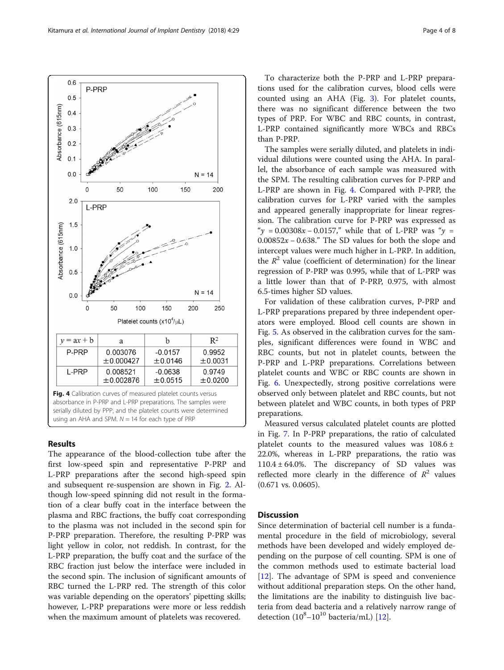# Results

The appearance of the blood-collection tube after the first low-speed spin and representative P-PRP and L-PRP preparations after the second high-speed spin and subsequent re-suspension are shown in Fig. [2.](#page-2-0) Although low-speed spinning did not result in the formation of a clear buffy coat in the interface between the plasma and RBC fractions, the buffy coat corresponding to the plasma was not included in the second spin for P-PRP preparation. Therefore, the resulting P-PRP was light yellow in color, not reddish. In contrast, for the L-PRP preparation, the buffy coat and the surface of the RBC fraction just below the interface were included in the second spin. The inclusion of significant amounts of RBC turned the L-PRP red. The strength of this color was variable depending on the operators' pipetting skills; however, L-PRP preparations were more or less reddish when the maximum amount of platelets was recovered.

To characterize both the P-PRP and L-PRP preparations used for the calibration curves, blood cells were counted using an AHA (Fig. [3](#page-2-0)). For platelet counts, there was no significant difference between the two types of PRP. For WBC and RBC counts, in contrast, L-PRP contained significantly more WBCs and RBCs than P-PRP.

The samples were serially diluted, and platelets in individual dilutions were counted using the AHA. In parallel, the absorbance of each sample was measured with the SPM. The resulting calibration curves for P-PRP and L-PRP are shown in Fig. 4. Compared with P-PRP, the calibration curves for L-PRP varied with the samples and appeared generally inappropriate for linear regression. The calibration curve for P-PRP was expressed as " $y = 0.00308x - 0.0157$ ," while that of L-PRP was " $y =$  $0.00852x - 0.638$ ." The SD values for both the slope and intercept values were much higher in L-PRP. In addition, the  $R^2$  value (coefficient of determination) for the linear regression of P-PRP was 0.995, while that of L-PRP was a little lower than that of P-PRP, 0.975, with almost 6.5-times higher SD values.

For validation of these calibration curves, P-PRP and L-PRP preparations prepared by three independent operators were employed. Blood cell counts are shown in Fig. [5](#page-4-0). As observed in the calibration curves for the samples, significant differences were found in WBC and RBC counts, but not in platelet counts, between the P-PRP and L-PRP preparations. Correlations between platelet counts and WBC or RBC counts are shown in Fig. [6](#page-4-0). Unexpectedly, strong positive correlations were observed only between platelet and RBC counts, but not between platelet and WBC counts, in both types of PRP preparations.

Measured versus calculated platelet counts are plotted in Fig. [7](#page-5-0). In P-PRP preparations, the ratio of calculated platelet counts to the measured values was  $108.6 \pm$ 22.0%, whereas in L-PRP preparations, the ratio was  $110.4 \pm 64.0\%$ . The discrepancy of SD values was reflected more clearly in the difference of  $R^2$  values (0.671 vs. 0.0605).

# **Discussion**

Since determination of bacterial cell number is a fundamental procedure in the field of microbiology, several methods have been developed and widely employed depending on the purpose of cell counting. SPM is one of the common methods used to estimate bacterial load [[12\]](#page-6-0). The advantage of SPM is speed and convenience without additional preparation steps. On the other hand, the limitations are the inability to distinguish live bacteria from dead bacteria and a relatively narrow range of detection  $(10^8 - 10^{10}$  bacteria/mL) [\[12\]](#page-6-0).

<span id="page-3-0"></span>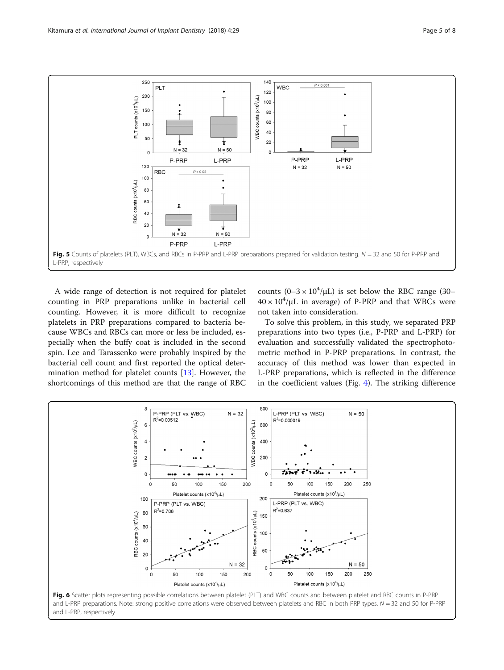<span id="page-4-0"></span>

A wide range of detection is not required for platelet counting in PRP preparations unlike in bacterial cell counting. However, it is more difficult to recognize platelets in PRP preparations compared to bacteria because WBCs and RBCs can more or less be included, especially when the buffy coat is included in the second spin. Lee and Tarassenko were probably inspired by the bacterial cell count and first reported the optical determination method for platelet counts [[13](#page-6-0)]. However, the shortcomings of this method are that the range of RBC counts  $(0-3 \times 10^4/\mu L)$  is set below the RBC range (30–  $40 \times 10^4/\mu$ L in average) of P-PRP and that WBCs were not taken into consideration.

To solve this problem, in this study, we separated PRP preparations into two types (i.e., P-PRP and L-PRP) for evaluation and successfully validated the spectrophotometric method in P-PRP preparations. In contrast, the accuracy of this method was lower than expected in L-PRP preparations, which is reflected in the difference in the coefficient values (Fig. [4\)](#page-3-0). The striking difference

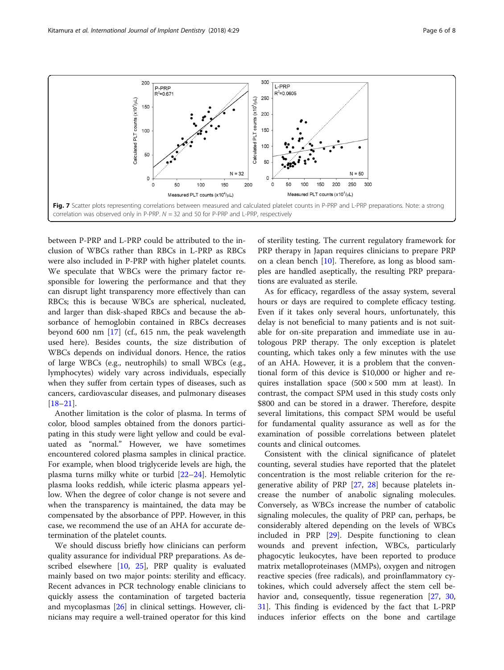<span id="page-5-0"></span>

between P-PRP and L-PRP could be attributed to the inclusion of WBCs rather than RBCs in L-PRP as RBCs were also included in P-PRP with higher platelet counts. We speculate that WBCs were the primary factor responsible for lowering the performance and that they can disrupt light transparency more effectively than can RBCs; this is because WBCs are spherical, nucleated, and larger than disk-shaped RBCs and because the absorbance of hemoglobin contained in RBCs decreases beyond 600 nm [\[17](#page-6-0)] (cf., 615 nm, the peak wavelength used here). Besides counts, the size distribution of WBCs depends on individual donors. Hence, the ratios of large WBCs (e.g., neutrophils) to small WBCs (e.g., lymphocytes) widely vary across individuals, especially when they suffer from certain types of diseases, such as cancers, cardiovascular diseases, and pulmonary diseases [[18](#page-6-0)–[21](#page-6-0)].

Another limitation is the color of plasma. In terms of color, blood samples obtained from the donors participating in this study were light yellow and could be evaluated as "normal." However, we have sometimes encountered colored plasma samples in clinical practice. For example, when blood triglyceride levels are high, the plasma turns milky white or turbid [\[22](#page-7-0)–[24\]](#page-7-0). Hemolytic plasma looks reddish, while icteric plasma appears yellow. When the degree of color change is not severe and when the transparency is maintained, the data may be compensated by the absorbance of PPP. However, in this case, we recommend the use of an AHA for accurate determination of the platelet counts.

We should discuss briefly how clinicians can perform quality assurance for individual PRP preparations. As described elsewhere [[10,](#page-6-0) [25\]](#page-7-0), PRP quality is evaluated mainly based on two major points: sterility and efficacy. Recent advances in PCR technology enable clinicians to quickly assess the contamination of targeted bacteria and mycoplasmas [\[26](#page-7-0)] in clinical settings. However, clinicians may require a well-trained operator for this kind

of sterility testing. The current regulatory framework for PRP therapy in Japan requires clinicians to prepare PRP on a clean bench [[10](#page-6-0)]. Therefore, as long as blood samples are handled aseptically, the resulting PRP preparations are evaluated as sterile.

As for efficacy, regardless of the assay system, several hours or days are required to complete efficacy testing. Even if it takes only several hours, unfortunately, this delay is not beneficial to many patients and is not suitable for on-site preparation and immediate use in autologous PRP therapy. The only exception is platelet counting, which takes only a few minutes with the use of an AHA. However, it is a problem that the conventional form of this device is \$10,000 or higher and requires installation space  $(500 \times 500$  mm at least). In contrast, the compact SPM used in this study costs only \$800 and can be stored in a drawer. Therefore, despite several limitations, this compact SPM would be useful for fundamental quality assurance as well as for the examination of possible correlations between platelet counts and clinical outcomes.

Consistent with the clinical significance of platelet counting, several studies have reported that the platelet concentration is the most reliable criterion for the regenerative ability of PRP [[27,](#page-7-0) [28](#page-7-0)] because platelets increase the number of anabolic signaling molecules. Conversely, as WBCs increase the number of catabolic signaling molecules, the quality of PRP can, perhaps, be considerably altered depending on the levels of WBCs included in PRP [[29\]](#page-7-0). Despite functioning to clean wounds and prevent infection, WBCs, particularly phagocytic leukocytes, have been reported to produce matrix metalloproteinases (MMPs), oxygen and nitrogen reactive species (free radicals), and proinflammatory cytokines, which could adversely affect the stem cell be-havior and, consequently, tissue regeneration [[27,](#page-7-0) [30](#page-7-0), [31\]](#page-7-0). This finding is evidenced by the fact that L-PRP induces inferior effects on the bone and cartilage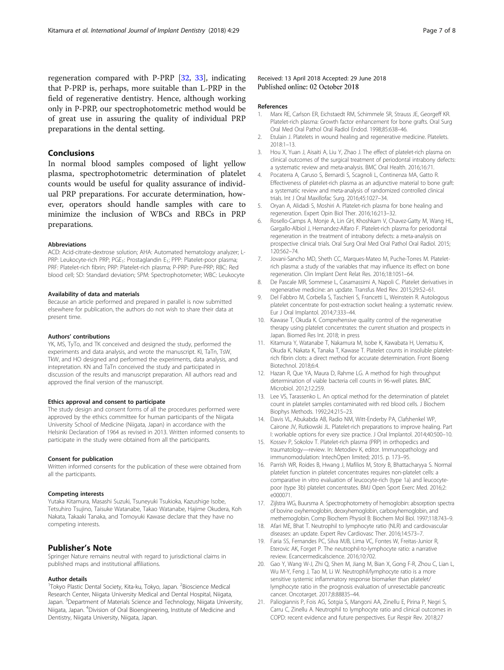<span id="page-6-0"></span>regeneration compared with P-PRP [[32,](#page-7-0) [33](#page-7-0)], indicating that P-PRP is, perhaps, more suitable than L-PRP in the field of regenerative dentistry. Hence, although working only in P-PRP, our spectrophotometric method would be of great use in assuring the quality of individual PRP preparations in the dental setting.

# Conclusions

In normal blood samples composed of light yellow plasma, spectrophotometric determination of platelet counts would be useful for quality assurance of individual PRP preparations. For accurate determination, however, operators should handle samples with care to minimize the inclusion of WBCs and RBCs in PRP preparations.

#### Abbreviations

ACD: Acid-citrate-dextrose solution; AHA: Automated hematology analyzer; L-PRP: Leukocyte-rich PRP; PGE<sub>1</sub>: Prostaglandin E<sub>1</sub>; PPP: Platelet-poor plasma; PRF: Platelet-rich fibrin; PRP: Platelet-rich plasma; P-PRP: Pure-PRP; RBC: Red blood cell; SD: Standard deviation; SPM: Spectrophotometer; WBC: Leukocyte

#### Availability of data and materials

Because an article performed and prepared in parallel is now submitted elsewhere for publication, the authors do not wish to share their data at present time.

#### Authors' contributions

YK, MS, TyTo, and TK conceived and designed the study, performed the experiments and data analysis, and wrote the manuscript. KI, TaTn, TsW, TkW, and HO designed and performed the experiments, data analysis, and intepretation. KN and TaTn conceived the study and participated in discussion of the results and manuscript preparation. All authors read and approved the final version of the manuscript.

#### Ethics approval and consent to participate

The study design and consent forms of all the procedures performed were approved by the ethics committee for human participants of the Niigata University School of Medicine (Niigata, Japan) in accordance with the Helsinki Declaration of 1964 as revised in 2013. Written informed consents to participate in the study were obtained from all the participants.

#### Consent for publication

Written informed consents for the publication of these were obtained from all the participants.

#### Competing interests

Yutaka Kitamura, Masashi Suzuki, Tsuneyuki Tsukioka, Kazushige Isobe, Tetsuhiro Tsujino, Taisuke Watanabe, Takao Watanabe, Hajime Okudera, Koh Nakata, Takaaki Tanaka, and Tomoyuki Kawase declare that they have no competing interests.

## Publisher's Note

Springer Nature remains neutral with regard to jurisdictional claims in published maps and institutional affiliations.

#### Author details

<sup>1</sup>Tokyo Plastic Dental Society, Kita-ku, Tokyo, Japan. <sup>2</sup>Bioscience Medical Research Center, Niigata University Medical and Dental Hospital, Niigata, Japan. <sup>3</sup>Department of Materials Science and Technology, Niigata University, Niigata, Japan. <sup>4</sup> Division of Oral Bioengineering, Institute of Medicine and Dentistry, Niigata University, Niigata, Japan.

## Received: 13 April 2018 Accepted: 29 June 2018 Published online: 02 October 2018

#### References

- 1. Marx RE, Carlson ER, Eichstaedt RM, Schimmele SR, Strauss JE, Georgeff KR. Platelet-rich plasma: Growth factor enhancement for bone grafts. Oral Surg Oral Med Oral Pathol Oral Radiol Endod. 1998;85:638–46.
- 2. Etulain J. Platelets in wound healing and regenerative medicine. Platelets. 2018:1–13.
- 3. Hou X, Yuan J, Aisaiti A, Liu Y, Zhao J. The effect of platelet-rich plasma on clinical outcomes of the surgical treatment of periodontal intrabony defects: a systematic review and meta-analysis. BMC Oral Health. 2016;16:71.
- 4. Pocaterra A, Caruso S, Bernardi S, Scagnoli L, Continenza MA, Gatto R. Effectiveness of platelet-rich plasma as an adjunctive material to bone graft: a systematic review and meta-analysis of randomized controlled clinical trials. Int J Oral Maxillofac Surg. 2016;45:1027–34.
- 5. Oryan A, Alidadi S, Moshiri A. Platelet-rich plasma for bone healing and regeneration. Expert Opin Biol Ther. 2016;16:213–32.
- 6. Rosello-Camps A, Monje A, Lin GH, Khoshkam V, Chavez-Gatty M, Wang HL, Gargallo-Albiol J, Hernandez-Alfaro F. Platelet-rich plasma for periodontal regeneration in the treatment of intrabony defects: a meta-analysis on prospective clinical trials. Oral Surg Oral Med Oral Pathol Oral Radiol. 2015; 120:562–74.
- 7. Jovani-Sancho MD, Sheth CC, Marques-Mateo M, Puche-Torres M. Plateletrich plasma: a study of the variables that may influence its effect on bone regeneration. Clin Implant Dent Relat Res. 2016;18:1051–64.
- 8. De Pascale MR, Sommese L, Casamassimi A, Napoli C. Platelet derivatives in regenerative medicine: an update. Transfus Med Rev. 2015;29:52–61.
- 9. Del Fabbro M, Corbella S, Taschieri S, Francetti L, Weinstein R. Autologous platelet concentrate for post-extraction socket healing: a systematic review. Eur J Oral Implantol. 2014;7:333–44.
- 10. Kawase T, Okuda K. Comprehensive quality control of the regenerative therapy using platelet concentrates: the current situation and prospects in Japan. Biomed Res Int. 2018; in press
- 11. Kitamura Y, Watanabe T, Nakamura M, Isobe K, Kawabata H, Uematsu K, Okuda K, Nakata K, Tanaka T, Kawase T. Platelet counts in insoluble plateletrich fibrin clots: a direct method for accurate determination. Front Bioeng Biotechnol. 2018;6:4.
- 12. Hazan R, Que YA, Maura D, Rahme LG. A method for high throughput determination of viable bacteria cell counts in 96-well plates. BMC Microbiol. 2012;12:259.
- 13. Lee VS, Tarassenko L. An optical method for the determination of platelet count in platelet samples contaminated with red blood cells. J Biochem Biophys Methods. 1992;24:215–23.
- 14. Davis VL, Abukabda AB, Radio NM, Witt-Enderby PA, Clafshenkel WP, Cairone JV, Rutkowski JL. Platelet-rich preparations to improve healing. Part I: workable options for every size practice. J Oral Implantol. 2014;40:500–10.
- 15. Kossev P, Sokolov T. Platelet-rich plasma (PRP) in orthopedics and traumatology—review. In: Metodiev K, editor. Immunopathology and immunomodulation: IntechOpen limited; 2015. p. 173–95.
- 16. Parrish WR, Roides B, Hwang J, Mafilios M, Story B, Bhattacharyya S. Normal platelet function in platelet concentrates requires non-platelet cells: a comparative in vitro evaluation of leucocyte-rich (type 1a) and leucocytepoor (type 3b) platelet concentrates. BMJ Open Sport Exerc Med. 2016;2: e000071.
- 17. Zijlstra WG, Buursma A. Spectrophotometry of hemoglobin: absorption spectra of bovine oxyhemoglobin, deoxyhemoglobin, carboxyhemoglobin, and methemoglobin. Comp Biochem Physiol B: Biochem Mol Biol. 1997;118:743–9.
- 18. Afari ME, Bhat T. Neutrophil to lymphocyte ratio (NLR) and cardiovascular diseases: an update. Expert Rev Cardiovasc Ther. 2016;14:573–7.
- 19. Faria SS, Fernandes PC, Silva MJB, Lima VC, Fontes W, Freitas-Junior R, Eterovic AK, Forget P. The neutrophil-to-lymphocyte ratio: a narrative review. Ecancermedicalscience. 2016;10:702.
- 20. Gao Y, Wang W-J, Zhi Q, Shen M, Jiang M, Bian X, Gong F-R, Zhou C, Lian L, Wu M-Y, Feng J, Tao M, Li W. Neutrophil/lymphocyte ratio is a more sensitive systemic inflammatory response biomarker than platelet/ lymphocyte ratio in the prognosis evaluation of unresectable pancreatic cancer. Oncotarget. 2017;8:88835–44.
- 21. Paliogiannis P, Fois AG, Sotgia S, Mangoni AA, Zinellu E, Pirina P, Negri S, Carru C, Zinellu A. Neutrophil to lymphocyte ratio and clinical outcomes in COPD: recent evidence and future perspectives. Eur Respir Rev. 2018;27